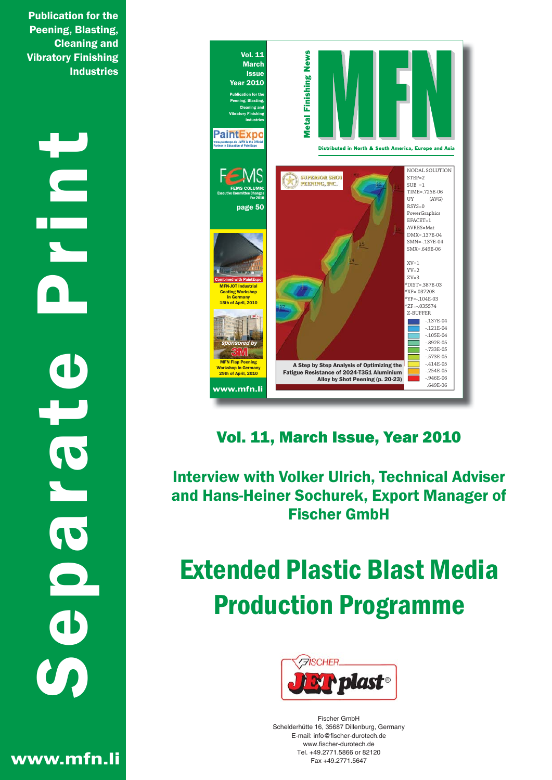**Publication for the Peening, Blasting, Cleaning and Vibratory Finishing Industries** 

**ODICIE**  $\overline{\mathbf{0}}$ 



Vol. 11, March Issue, Year 2010

**Interview with Volker Ulrich, Technical Adviser** and Hans-Heiner Sochurek, Export Manager of **Fischer GmbH** 

## **Extended Plastic Blast Media Production Programme**



Fischer GmhH Schelderhütte 16, 35687 Dillenburg, Germany E-mail: info@fischer-durotech.de www.fischer-durotech.de Tel. +49.2771.5866 or 82120 Eav +49 2771 5647

www.mfn.li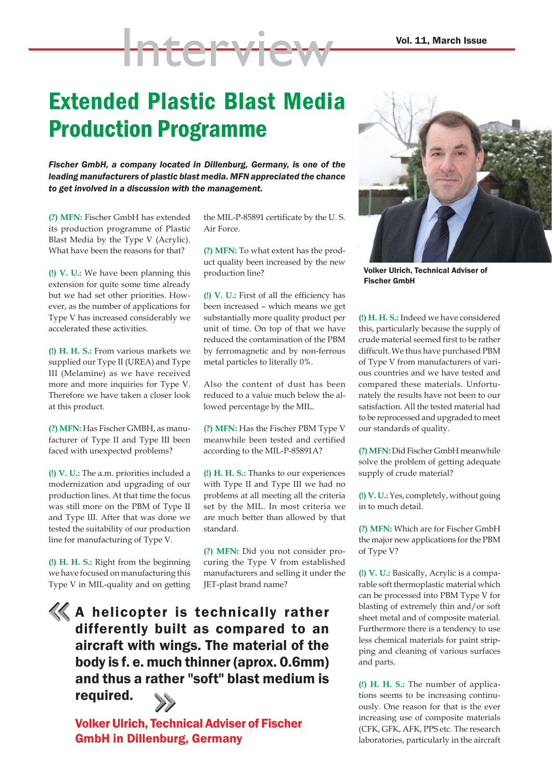## Extended Plastic Blast Media Production Programme

Interview

*Fischer GmbH, a company located in Dillenburg, Germany, is one of the leading manufacturers of plastic blast media. MFN appreciated the chance to get involved in a discussion with the management.*

**(?) MFN:** Fischer GmbH has extended its production programme of Plastic Blast Media by the Type V (Acrylic). What have been the reasons for that?

**(!) V. U.:** We have been planning this extension for quite some time already but we had set other priorities. However, as the number of applications for Type V has increased considerably we accelerated these activities.

**(!) H. H. S.:** From various markets we supplied our Type II (UREA) and Type III (Melamine) as we have received more and more inquiries for Type V. Therefore we have taken a closer look at this product.

**(?) MFN:** Has Fischer GMBH, as manufacturer of Type II and Type III been faced with unexpected problems?

**(!) V. U.:** The a.m. priorities included a modernization and upgrading of our production lines. At that time the focus was still more on the PBM of Type II and Type III. After that was done we tested the suitability of our production line for manufacturing of Type V.

**(!) H. H. S.:** Right from the beginning we have focused on manufacturing this Type V in MIL-quality and on getting

the MIL-P-85891 certificate by the U. S. Air Force.

**(?) MFN:** To what extent has the product quality been increased by the new production line?

**(!) V. U.:** First of all the efficiency has been increased – which means we get substantially more quality product per unit of time. On top of that we have reduced the contamination of the PBM by ferromagnetic and by non-ferrous metal particles to literally 0%.

Also the content of dust has been reduced to a value much below the allowed percentage by the MIL.

**(?) MFN:** Has the Fischer PBM Type V meanwhile been tested and certified according to the MIL-P-85891A?

**(!) H. H. S.:** Thanks to our experiences with Type II and Type III we had no problems at all meeting all the criteria set by the MIL. In most criteria we are much better than allowed by that standard.

**(?) MFN:** Did you not consider procuring the Type V from established manufacturers and selling it under the JET-plast brand name?

A helicopter is technically rather differently built as compared to an aircraft with wings. The material of the body is f. e. much thinner (aprox. 0.6mm) and thus a rather "soft" blast medium is required.



Volker Ulrich, Technical Adviser of Fischer GmbH in Dillenburg, Germany



Volker Ulrich, Technical Adviser of Fischer GmbH

**(!) H. H. S.:** Indeed we have considered this, particularly because the supply of crude material seemed first to be rather difficult. We thus have purchased PBM of Type V from manufacturers of various countries and we have tested and compared these materials. Unfortunately the results have not been to our satisfaction. All the tested material had to be reprocessed and upgraded to meet our standards of quality.

**(?) MFN:** Did Fischer GmbH meanwhile solve the problem of getting adequate supply of crude material?

**(!) V. U.:** Yes, completely, without going in to much detail.

**(?) MFN:** Which are for Fischer GmbH the major new applications for the PBM of Type V?

**(!) V. U.:** Basically, Acrylic is a comparable soft thermoplastic material which can be processed into PBM Type V for blasting of extremely thin and/or soft sheet metal and of composite material. Furthermore there is a tendency to use less chemical materials for paint stripping and cleaning of various surfaces and parts.

**(!) H. H. S.:** The number of applications seems to be increasing continuously. One reason for that is the ever increasing use of composite materials (CFK, GFK, AFK, PPS etc. The research laboratories, particularly in the aircraft